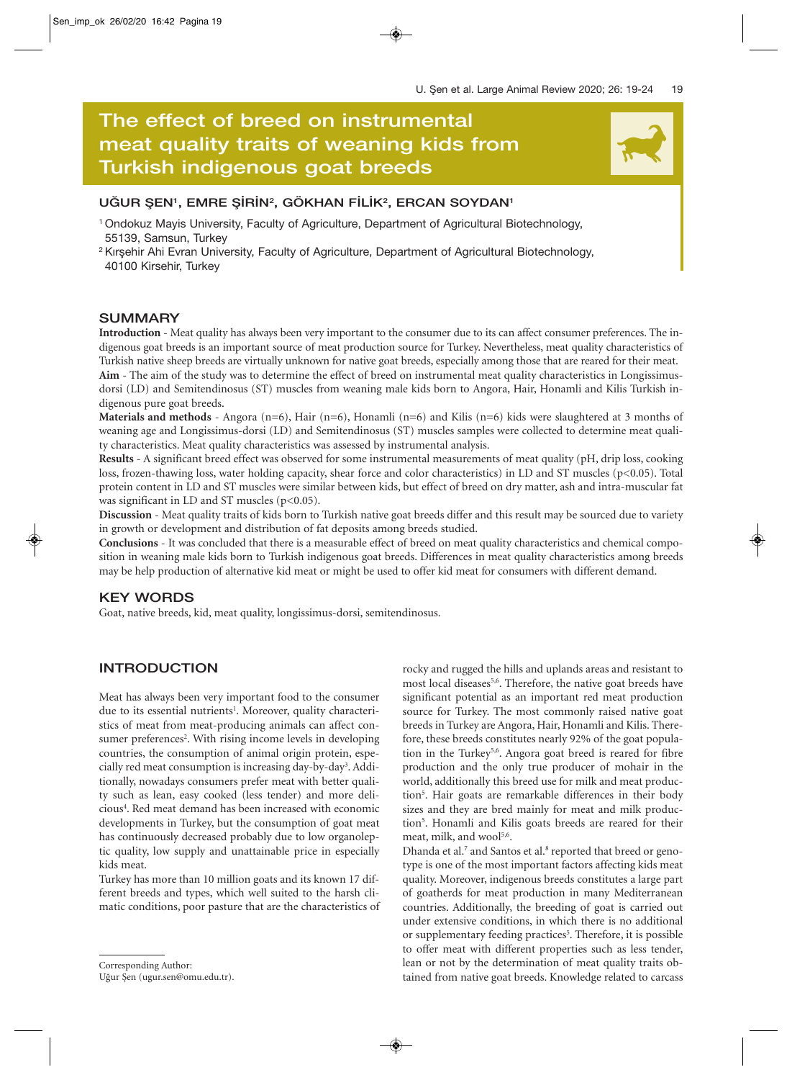# **The effect of breed on instrumental meat quality traits of weaning kids from** The effect of breed on instrumental<br>meat quality traits of weaning kids from<br>Turkish indigenous goat breeds

## UĞUR ŞEN<sup>1</sup>, EMRE ŞİRİN<sup>2</sup>, GÖKHAN FİLİK<sup>2</sup>, ERCAN SOYDAN<sup>1</sup>

- 1 Ondokuz Mayis University, Faculty of Agriculture, Department of Agricultural Biotechnology, 55139, Samsun, Turkey
- <sup>2</sup> Kirsehir Ahi Evran University, Faculty of Agriculture, Department of Agricultural Biotechnology, 40100 Kirsehir, Turkey

### **SUMMARY**

**Introduction** - Meat quality has always been very important to the consumer due to its can affect consumer preferences. The indigenous goat breeds is an important source of meat production source for Turkey. Nevertheless, meat quality characteristics of Turkish native sheep breeds are virtually unknown for native goat breeds, especially among those that are reared for their meat. **Aim** - The aim of the study was to determine the effect of breed on instrumental meat quality characteristics in Longissimusdorsi (LD) and Semitendinosus (ST) muscles from weaning male kids born to Angora, Hair, Honamli and Kilis Turkish in-

digenous pure goat breeds.

**Materials and methods** - Angora (n=6), Hair (n=6), Honamli (n=6) and Kilis (n=6) kids were slaughtered at 3 months of weaning age and Longissimus-dorsi (LD) and Semitendinosus (ST) muscles samples were collected to determine meat quality characteristics. Meat quality characteristics was assessed by instrumental analysis.

**Results** - A significant breed effect was observed for some instrumental measurements of meat quality (pH, drip loss, cooking loss, frozen-thawing loss, water holding capacity, shear force and color characteristics) in LD and ST muscles (p<0.05). Total protein content in LD and ST muscles were similar between kids, but effect of breed on dry matter, ash and intra-muscular fat was significant in LD and ST muscles (p<0.05).

**Discussion** - Meat quality traits of kids born to Turkish native goat breeds differ and this result may be sourced due to variety in growth or development and distribution of fat deposits among breeds studied.

**Conclusions** - It was concluded that there is a measurable effect of breed on meat quality characteristics and chemical composition in weaning male kids born to Turkish indigenous goat breeds. Differences in meat quality characteristics among breeds may be help production of alternative kid meat or might be used to offer kid meat for consumers with different demand.

#### **KEY WORDS**

Goat, native breeds, kid, meat quality, longissimus-dorsi, semitendinosus.

### **INTRODUCTION**

Meat has always been very important food to the consumer due to its essential nutrients<sup>1</sup>. Moreover, quality characteristics of meat from meat-producing animals can affect consumer preferences<sup>2</sup>. With rising income levels in developing countries, the consumption of animal origin protein, especially red meat consumption is increasing day-by-day<sup>3</sup>. Additionally, nowadays consumers prefer meat with better quality such as lean, easy cooked (less tender) and more delicious<sup>4</sup>. Red meat demand has been increased with economic developments in Turkey, but the consumption of goat meat has continuously decreased probably due to low organoleptic quality, low supply and unattainable price in especially kids meat.

Turkey has more than 10 million goats and its known 17 different breeds and types, which well suited to the harsh climatic conditions, poor pasture that are the characteristics of

rocky and rugged the hills and uplands areas and resistant to most local diseases<sup>5,6</sup>. Therefore, the native goat breeds have significant potential as an important red meat production source for Turkey. The most commonly raised native goat breeds in Turkey are Angora, Hair, Honamli and Kilis. Therefore, these breeds constitutes nearly 92% of the goat population in the Turkey<sup>5,6</sup>. Angora goat breed is reared for fibre production and the only true producer of mohair in the world, additionally this breed use for milk and meat production<sup>5</sup>. Hair goats are remarkable differences in their body sizes and they are bred mainly for meat and milk production<sup>5</sup>. Honamli and Kilis goats breeds are reared for their meat, milk, and wool<sup>5,6</sup>.

Dhanda et al.<sup>7</sup> and Santos et al.<sup>8</sup> reported that breed or genotype is one of the most important factors affecting kids meat quality. Moreover, indigenous breeds constitutes a large part of goatherds for meat production in many Mediterranean countries. Additionally, the breeding of goat is carried out under extensive conditions, in which there is no additional or supplementary feeding practices<sup>5</sup>. Therefore, it is possible to offer meat with different properties such as less tender, lean or not by the determination of meat quality traits obtained from native goat breeds. Knowledge related to carcass

Corresponding Author:

Uğur Şen (ugur.sen@omu.edu.tr).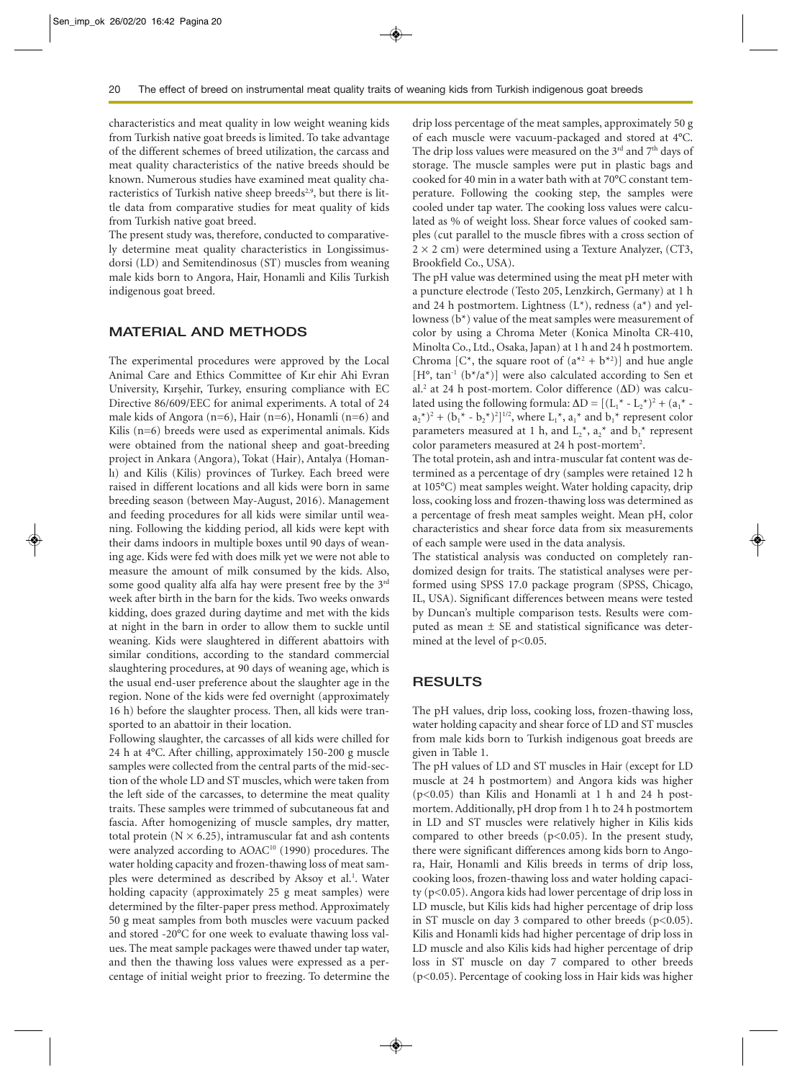characteristics and meat quality in low weight weaning kids from Turkish native goat breeds is limited. To take advantage of the different schemes of breed utilization, the carcass and meat quality characteristics of the native breeds should be known. Numerous studies have examined meat quality characteristics of Turkish native sheep breeds<sup>2,9</sup>, but there is little data from comparative studies for meat quality of kids from Turkish native goat breed.

The present study was, therefore, conducted to comparatively determine meat quality characteristics in Longissimusdorsi (LD) and Semitendinosus (ST) muscles from weaning male kids born to Angora, Hair, Honamli and Kilis Turkish indigenous goat breed.

#### **MATERIAL AND METHODS**

The experimental procedures were approved by the Local Animal Care and Ethics Committee of Kır ehir Ahi Evran University, Kırşehir, Turkey, ensuring compliance with EC Directive 86/609/EEC for animal experiments. A total of 24 male kids of Angora (n=6), Hair (n=6), Honamli (n=6) and Kilis (n=6) breeds were used as experimental animals. Kids were obtained from the national sheep and goat-breeding project in Ankara (Angora), Tokat (Hair), Antalya (Homanlı) and Kilis (Kilis) provinces of Turkey. Each breed were raised in different locations and all kids were born in same breeding season (between May-August, 2016). Management and feeding procedures for all kids were similar until weaning. Following the kidding period, all kids were kept with their dams indoors in multiple boxes until 90 days of weaning age. Kids were fed with does milk yet we were not able to measure the amount of milk consumed by the kids. Also, some good quality alfa alfa hay were present free by the 3<sup>rd</sup> week after birth in the barn for the kids. Two weeks onwards kidding, does grazed during daytime and met with the kids at night in the barn in order to allow them to suckle until weaning. Kids were slaughtered in different abattoirs with similar conditions, according to the standard commercial slaughtering procedures, at 90 days of weaning age, which is the usual end-user preference about the slaughter age in the region. None of the kids were fed overnight (approximately 16 h) before the slaughter process. Then, all kids were transported to an abattoir in their location.

Following slaughter, the carcasses of all kids were chilled for 24 h at 4°C. After chilling, approximately 150-200 g muscle samples were collected from the central parts of the mid-section of the whole LD and ST muscles, which were taken from the left side of the carcasses, to determine the meat quality traits. These samples were trimmed of subcutaneous fat and fascia. After homogenizing of muscle samples, dry matter, total protein  $(N \times 6.25)$ , intramuscular fat and ash contents were analyzed according to AOAC<sup>10</sup> (1990) procedures. The water holding capacity and frozen-thawing loss of meat samples were determined as described by Aksoy et al.<sup>1</sup>. Water holding capacity (approximately 25 g meat samples) were determined by the filter-paper press method. Approximately 50 g meat samples from both muscles were vacuum packed and stored -20°C for one week to evaluate thawing loss values. The meat sample packages were thawed under tap water, and then the thawing loss values were expressed as a percentage of initial weight prior to freezing. To determine the drip loss percentage of the meat samples, approximately 50 g of each muscle were vacuum-packaged and stored at 4°C. The drip loss values were measured on the  $3<sup>rd</sup>$  and  $7<sup>th</sup>$  days of storage. The muscle samples were put in plastic bags and cooked for 40 min in a water bath with at 70°C constant temperature. Following the cooking step, the samples were cooled under tap water. The cooking loss values were calculated as % of weight loss. Shear force values of cooked samples (cut parallel to the muscle fibres with a cross section of  $2 \times 2$  cm) were determined using a Texture Analyzer, (CT3, Brookfield Co., USA).

The pH value was determined using the meat pH meter with a puncture electrode (Testo 205, Lenzkirch, Germany) at 1 h and 24 h postmortem. Lightness  $(L^*)$ , redness  $(a^*)$  and yellowness (b\*) value of the meat samples were measurement of color by using a Chroma Meter (Konica Minolta CR-410, Minolta Co., Ltd., Osaka, Japan) at 1 h and 24 h postmortem. Chroma [C<sup>\*</sup>, the square root of  $(a^{*2} + b^{*2})$ ] and hue angle  $[H^{\circ}, \tan^{-1}(b^{\ast}/a^{\ast})]$  were also calculated according to Sen et al.2 at 24 h post-mortem. Color difference (ΔD) was calculated using the following formula:  $\Delta D = [(L_1^* - L_2^*)^2 + (a_1^*$  $a_2^{\ast}$ )<sup>2</sup> + ( $b_1^{\ast}$  -  $b_2^{\ast}$ )<sup>2</sup>]<sup>1/2</sup>, where L<sub>1</sub><sup>\*</sup>,  $a_1^{\ast}$  and  $b_1^{\ast}$  represent color parameters measured at 1 h, and  $L_2^*$ ,  $a_2^*$  and  $b_1^*$  represent color parameters measured at 24 h post-mortem<sup>2</sup>.

The total protein, ash and intra-muscular fat content was determined as a percentage of dry (samples were retained 12 h at 105°C) meat samples weight. Water holding capacity, drip loss, cooking loss and frozen-thawing loss was determined as a percentage of fresh meat samples weight. Mean pH, color characteristics and shear force data from six measurements of each sample were used in the data analysis.

The statistical analysis was conducted on completely randomized design for traits. The statistical analyses were performed using SPSS 17.0 package program (SPSS, Chicago, IL, USA). Significant differences between means were tested by Duncan's multiple comparison tests. Results were computed as mean ± SE and statistical significance was determined at the level of p<0.05.

#### **RESULTS**

The pH values, drip loss, cooking loss, frozen-thawing loss, water holding capacity and shear force of LD and ST muscles from male kids born to Turkish indigenous goat breeds are given in Table 1.

The pH values of LD and ST muscles in Hair (except for LD muscle at 24 h postmortem) and Angora kids was higher (p<0.05) than Kilis and Honamli at 1 h and 24 h postmortem. Additionally, pH drop from 1 h to 24 h postmortem in LD and ST muscles were relatively higher in Kilis kids compared to other breeds  $(p<0.05)$ . In the present study, there were significant differences among kids born to Angora, Hair, Honamli and Kilis breeds in terms of drip loss, cooking loos, frozen-thawing loss and water holding capacity (p<0.05). Angora kids had lower percentage of drip loss in LD muscle, but Kilis kids had higher percentage of drip loss in ST muscle on day 3 compared to other breeds  $(p<0.05)$ . Kilis and Honamli kids had higher percentage of drip loss in LD muscle and also Kilis kids had higher percentage of drip loss in ST muscle on day 7 compared to other breeds (p<0.05). Percentage of cooking loss in Hair kids was higher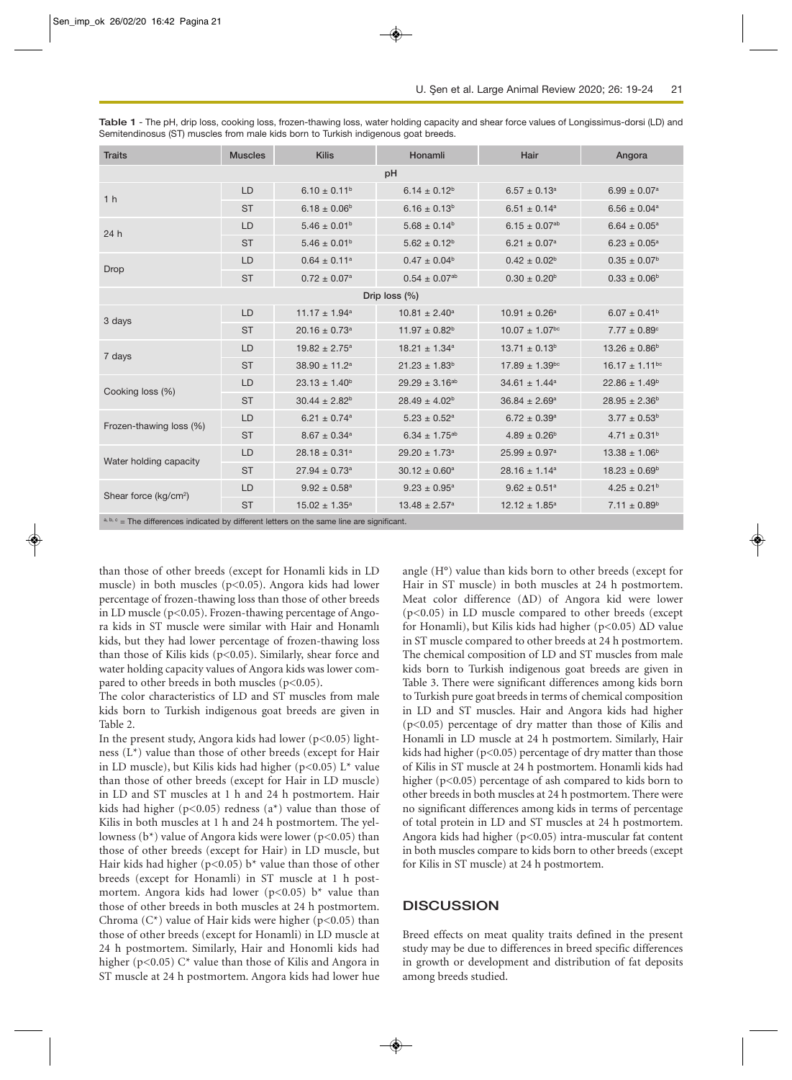| <b>Traits</b>                     | <b>Muscles</b> | <b>Kilis</b>                  | Honamli                       | Hair                           | Angora                         |  |  |  |
|-----------------------------------|----------------|-------------------------------|-------------------------------|--------------------------------|--------------------------------|--|--|--|
| pH                                |                |                               |                               |                                |                                |  |  |  |
| 1 <sub>h</sub>                    | LD             | $6.10 \pm 0.11^b$             | $6.14 \pm 0.12^b$             | $6.57 \pm 0.13^a$              | $6.99 \pm 0.07$ <sup>a</sup>   |  |  |  |
|                                   | <b>ST</b>      | $6.18 \pm 0.06^{\text{b}}$    | $6.16 \pm 0.13^b$             | $6.51 \pm 0.14$ <sup>a</sup>   | $6.56 \pm 0.04$ <sup>a</sup>   |  |  |  |
| 24 h                              | LD             | $5.46 \pm 0.01^{\rm b}$       | $5.68 \pm 0.14^b$             | $6.15 \pm 0.07$ <sup>ab</sup>  | $6.64 \pm 0.05^{\text{a}}$     |  |  |  |
|                                   | <b>ST</b>      | $5.46 \pm 0.01^{\rm b}$       | $5.62 \pm 0.12^b$             | $6.21 \pm 0.07$ <sup>a</sup>   | $6.23 \pm 0.05^{\text{a}}$     |  |  |  |
| Drop                              | LD             | $0.64 \pm 0.11^a$             | $0.47 \pm 0.04^b$             | $0.42 \pm 0.02^b$              | $0.35 \pm 0.07^b$              |  |  |  |
|                                   | <b>ST</b>      | $0.72 \pm 0.07$ <sup>a</sup>  | $0.54 \pm 0.07^{ab}$          | $0.30 \pm 0.20^{\rm b}$        | $0.33 \pm 0.06^{\rm b}$        |  |  |  |
| Drip loss (%)                     |                |                               |                               |                                |                                |  |  |  |
| 3 days                            | LD             | $11.17 \pm 1.94$ <sup>a</sup> | $10.81 \pm 2.40^a$            | $10.91 \pm 0.26^a$             | $6.07 \pm 0.41^b$              |  |  |  |
|                                   | <b>ST</b>      | $20.16 \pm 0.73$ <sup>a</sup> | $11.97 \pm 0.82^b$            | $10.07 \pm 1.07$ <sup>bc</sup> | $7.77 \pm 0.89^{\circ}$        |  |  |  |
| 7 days                            | LD             | $19.82 \pm 2.75$ <sup>a</sup> | $18.21 \pm 1.34$ <sup>a</sup> | $13.71 \pm 0.13^b$             | $13.26 \pm 0.86^b$             |  |  |  |
|                                   | <b>ST</b>      | $38.90 \pm 11.2^a$            | $21.23 \pm 1.83^b$            | $17.89 \pm 1.39$ <sup>bc</sup> | $16.17 \pm 1.11$ <sup>bc</sup> |  |  |  |
| Cooking loss (%)                  | LD             | $23.13 \pm 1.40^b$            | $29.29 \pm 3.16^{ab}$         | $34.61 \pm 1.44^a$             | $22.86 \pm 1.49^b$             |  |  |  |
|                                   | <b>ST</b>      | $30.44 \pm 2.82^b$            | $28.49 \pm 4.02^b$            | $36.84 \pm 2.69^a$             | $28.95 \pm 2.36^b$             |  |  |  |
| Frozen-thawing loss (%)           | LD             | $6.21 \pm 0.74$ <sup>a</sup>  | $5.23 \pm 0.52^a$             | $6.72 \pm 0.39^{\text{a}}$     | $3.77 \pm 0.53^b$              |  |  |  |
|                                   | <b>ST</b>      | $8.67 \pm 0.34$ <sup>a</sup>  | $6.34 \pm 1.75^{ab}$          | $4.89 \pm 0.26^{\text{b}}$     | $4.71 \pm 0.31^b$              |  |  |  |
| Water holding capacity            | LD             | $28.18 \pm 0.31$ <sup>a</sup> | $29.20 \pm 1.73$ <sup>a</sup> | $25.99 \pm 0.97$ <sup>a</sup>  | $13.38 \pm 1.06^b$             |  |  |  |
|                                   | <b>ST</b>      | $27.94 \pm 0.73$ <sup>a</sup> | $30.12 \pm 0.60^a$            | $28.16 \pm 1.14^a$             | $18.23 \pm 0.69^b$             |  |  |  |
| Shear force (kg/cm <sup>2</sup> ) | LD             | $9.92 \pm 0.58^a$             | $9.23 \pm 0.95^a$             | $9.62 \pm 0.51^a$              | $4.25 \pm 0.21^b$              |  |  |  |
|                                   | <b>ST</b>      | $15.02 \pm 1.35^a$            | $13.48 \pm 2.57^a$            | $12.12 \pm 1.85^a$             | $7.11 \pm 0.89^b$              |  |  |  |

**Table 1** - The pH, drip loss, cooking loss, frozen-thawing loss, water holding capacity and shear force values of Longissimus-dorsi (LD) and Semitendinosus (ST) muscles from male kids born to Turkish indigenous goat breeds.

 $\epsilon$  = The differences indicated by different letters on the same line are significant.

than those of other breeds (except for Honamli kids in LD muscle) in both muscles (p<0.05). Angora kids had lower percentage of frozen-thawing loss than those of other breeds in LD muscle (p<0.05). Frozen-thawing percentage of Angora kids in ST muscle were similar with Hair and Honamlı kids, but they had lower percentage of frozen-thawing loss than those of Kilis kids ( $p$ <0.05). Similarly, shear force and water holding capacity values of Angora kids was lower compared to other breeds in both muscles  $(p<0.05)$ .

The color characteristics of LD and ST muscles from male kids born to Turkish indigenous goat breeds are given in Table 2.

In the present study, Angora kids had lower ( $p < 0.05$ ) lightness (L\*) value than those of other breeds (except for Hair in LD muscle), but Kilis kids had higher (p<0.05) L\* value than those of other breeds (except for Hair in LD muscle) in LD and ST muscles at 1 h and 24 h postmortem. Hair kids had higher ( $p<0.05$ ) redness ( $a^*$ ) value than those of Kilis in both muscles at 1 h and 24 h postmortem. The yellowness ( $b^*$ ) value of Angora kids were lower ( $p<0.05$ ) than those of other breeds (except for Hair) in LD muscle, but Hair kids had higher ( $p$ <0.05) b<sup>\*</sup> value than those of other breeds (except for Honamli) in ST muscle at 1 h postmortem. Angora kids had lower ( $p < 0.05$ ) b<sup>\*</sup> value than those of other breeds in both muscles at 24 h postmortem. Chroma  $(C^*)$  value of Hair kids were higher (p<0.05) than those of other breeds (except for Honamli) in LD muscle at 24 h postmortem. Similarly, Hair and Honomli kids had higher ( $p<0.05$ ) C<sup>\*</sup> value than those of Kilis and Angora in ST muscle at 24 h postmortem. Angora kids had lower hue

angle (H°) value than kids born to other breeds (except for Hair in ST muscle) in both muscles at 24 h postmortem. Meat color difference (ΔD) of Angora kid were lower (p<0.05) in LD muscle compared to other breeds (except for Honamli), but Kilis kids had higher (p<0.05) ΔD value in ST muscle compared to other breeds at 24 h postmortem. The chemical composition of LD and ST muscles from male kids born to Turkish indigenous goat breeds are given in Table 3. There were significant differences among kids born to Turkish pure goat breeds in terms of chemical composition in LD and ST muscles. Hair and Angora kids had higher (p<0.05) percentage of dry matter than those of Kilis and Honamli in LD muscle at 24 h postmortem. Similarly, Hair kids had higher ( $p<0.05$ ) percentage of dry matter than those of Kilis in ST muscle at 24 h postmortem. Honamli kids had higher (p<0.05) percentage of ash compared to kids born to other breeds in both muscles at 24 h postmortem. There were no significant differences among kids in terms of percentage of total protein in LD and ST muscles at 24 h postmortem. Angora kids had higher (p<0.05) intra-muscular fat content in both muscles compare to kids born to other breeds (except for Kilis in ST muscle) at 24 h postmortem.

#### **DISCUSSION**

Breed effects on meat quality traits defined in the present study may be due to differences in breed specific differences in growth or development and distribution of fat deposits among breeds studied.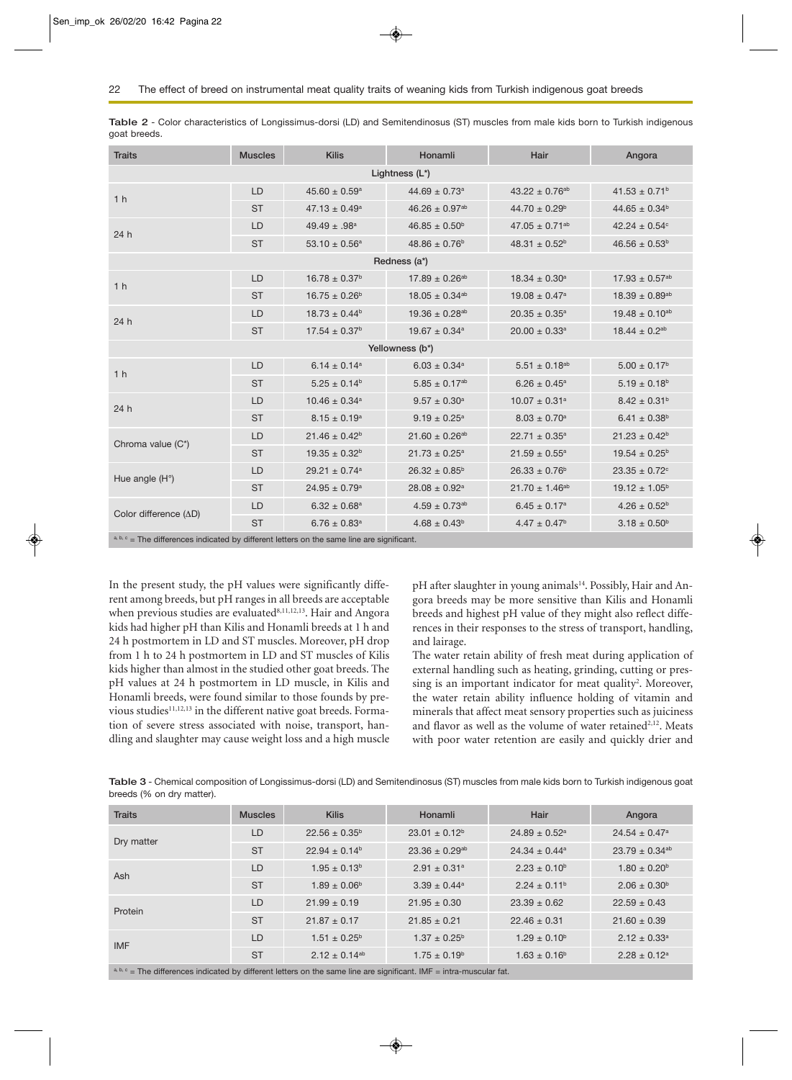| <b>Traits</b>                                                                                | <b>Muscles</b> | <b>Kilis</b>                  | Honamli                       | Hair                          | Angora                        |  |  |  |
|----------------------------------------------------------------------------------------------|----------------|-------------------------------|-------------------------------|-------------------------------|-------------------------------|--|--|--|
| Lightness (L*)                                                                               |                |                               |                               |                               |                               |  |  |  |
| 1 <sub>h</sub>                                                                               | LD             | $45.60 \pm 0.59$ <sup>a</sup> | $44.69 \pm 0.73$ <sup>a</sup> | $43.22 \pm 0.76^{ab}$         | $41.53 \pm 0.71^b$            |  |  |  |
|                                                                                              | <b>ST</b>      | $47.13 \pm 0.49^a$            | $46.26 \pm 0.97^{ab}$         | $44.70 \pm 0.29^b$            | $44.65 \pm 0.34^b$            |  |  |  |
| 24h                                                                                          | LD             | $49.49 \pm .98$ <sup>a</sup>  | $46.85 \pm 0.50^{\rm b}$      | $47.05 \pm 0.71^{ab}$         | $42.24 \pm 0.54$ <sup>c</sup> |  |  |  |
|                                                                                              | <b>ST</b>      | 53.10 $\pm$ 0.56 <sup>a</sup> | $48.86 \pm 0.76^b$            | $48.31 \pm 0.52^b$            | $46.56 \pm 0.53^b$            |  |  |  |
| Redness (a*)                                                                                 |                |                               |                               |                               |                               |  |  |  |
| 1 <sub>h</sub>                                                                               | LD             | $16.78 \pm 0.37^b$            | $17.89 \pm 0.26^{ab}$         | $18.34 \pm 0.30^a$            | $17.93 \pm 0.57^{ab}$         |  |  |  |
|                                                                                              | <b>ST</b>      | $16.75 \pm 0.26^b$            | $18.05 \pm 0.34^{ab}$         | $19.08 \pm 0.47$ <sup>a</sup> | $18.39 \pm 0.89^{ab}$         |  |  |  |
| 24 h                                                                                         | LD             | $18.73 \pm 0.44^b$            | $19.36 \pm 0.28^{ab}$         | $20.35 \pm 0.35^{\circ}$      | $19.48 \pm 0.10^{ab}$         |  |  |  |
|                                                                                              | <b>ST</b>      | $17.54 \pm 0.37^b$            | $19.67 \pm 0.34$ <sup>a</sup> | $20.00 \pm 0.33$ <sup>a</sup> | $18.44 \pm 0.2^{ab}$          |  |  |  |
| Yellowness (b*)                                                                              |                |                               |                               |                               |                               |  |  |  |
| 1 <sub>h</sub>                                                                               | LD             | $6.14 \pm 0.14^a$             | $6.03 \pm 0.34$ <sup>a</sup>  | $5.51 \pm 0.18^{ab}$          | $5.00 \pm 0.17^b$             |  |  |  |
|                                                                                              | <b>ST</b>      | $5.25 \pm 0.14^b$             | $5.85 \pm 0.17^{ab}$          | $6.26 \pm 0.45^{\text{a}}$    | $5.19 \pm 0.18^{\text{b}}$    |  |  |  |
| 24h                                                                                          | LD             | $10.46 \pm 0.34$ <sup>a</sup> | $9.57 \pm 0.30^a$             | $10.07 \pm 0.31$ <sup>a</sup> | $8.42 \pm 0.31^b$             |  |  |  |
|                                                                                              | <b>ST</b>      | $8.15 \pm 0.19^a$             | $9.19 \pm 0.25^{\text{a}}$    | $8.03 \pm 0.70^a$             | $6.41 \pm 0.38^b$             |  |  |  |
| Chroma value (C*)                                                                            | LD             | $21.46 \pm 0.42^b$            | $21.60 \pm 0.26^{ab}$         | $22.71 \pm 0.35^a$            | $21.23 \pm 0.42^b$            |  |  |  |
|                                                                                              | <b>ST</b>      | $19.35 \pm 0.32^b$            | $21.73 \pm 0.25^a$            | $21.59 \pm 0.55^{\text{a}}$   | $19.54 \pm 0.25^{\circ}$      |  |  |  |
| Hue angle $(H^{\circ})$                                                                      | LD             | $29.21 \pm 0.74$ <sup>a</sup> | $26.32 \pm 0.85^b$            | $26.33 \pm 0.76^b$            | $23.35 \pm 0.72$ <sup>c</sup> |  |  |  |
|                                                                                              | <b>ST</b>      | $24.95 \pm 0.79$ <sup>a</sup> | $28.08 \pm 0.92^a$            | $21.70 \pm 1.46^{ab}$         | $19.12 \pm 1.05^b$            |  |  |  |
| Color difference (AD)                                                                        | LD             | $6.32 \pm 0.68^{\text{a}}$    | $4.59 \pm 0.73^{ab}$          | $6.45 \pm 0.17^a$             | $4.26 \pm 0.52^b$             |  |  |  |
|                                                                                              | <b>ST</b>      | $6.76 \pm 0.83$ <sup>a</sup>  | $4.68 \pm 0.43^b$             | $4.47 \pm 0.47$ <sup>b</sup>  | $3.18 \pm 0.50^{\rm b}$       |  |  |  |
| $a, b, c$ = The differences indicated by different letters on the same line are significant. |                |                               |                               |                               |                               |  |  |  |

**Table 2** - Color characteristics of Longissimus-dorsi (LD) and Semitendinosus (ST) muscles from male kids born to Turkish indigenous goat breeds.

In the present study, the pH values were significantly different among breeds, but pH ranges in all breeds are acceptable when previous studies are evaluated<sup>8,11,12,13</sup>. Hair and Angora kids had higher pH than Kilis and Honamli breeds at 1 h and 24 h postmortem in LD and ST muscles. Moreover, pH drop from 1 h to 24 h postmortem in LD and ST muscles of Kilis kids higher than almost in the studied other goat breeds. The pH values at 24 h postmortem in LD muscle, in Kilis and Honamli breeds, were found similar to those founds by previous studies<sup>11,12,13</sup> in the different native goat breeds. Formation of severe stress associated with noise, transport, handling and slaughter may cause weight loss and a high muscle

pH after slaughter in young animals<sup>14</sup>. Possibly, Hair and Angora breeds may be more sensitive than Kilis and Honamli breeds and highest pH value of they might also reflect differences in their responses to the stress of transport, handling, and lairage.

The water retain ability of fresh meat during application of external handling such as heating, grinding, cutting or pressing is an important indicator for meat quality<sup>2</sup>. Moreover, the water retain ability influence holding of vitamin and minerals that affect meat sensory properties such as juiciness and flavor as well as the volume of water retained<sup>2,12</sup>. Meats with poor water retention are easily and quickly drier and

**Table 3** - Chemical composition of Longissimus-dorsi (LD) and Semitendinosus (ST) muscles from male kids born to Turkish indigenous goat breeds (% on dry matter).

| <b>Traits</b>                                                                                                        | <b>Muscles</b> | <b>Kilis</b>            | Honamli                        | Hair                          | Angora                         |  |
|----------------------------------------------------------------------------------------------------------------------|----------------|-------------------------|--------------------------------|-------------------------------|--------------------------------|--|
| Dry matter                                                                                                           | LD             | $22.56 \pm 0.35^b$      | $23.01 \pm 0.12^b$             | $24.89 \pm 0.52$ <sup>a</sup> | $24.54 \pm 0.47$ <sup>a</sup>  |  |
|                                                                                                                      | <b>ST</b>      | $22.94 \pm 0.14^b$      | $23.36 \pm 0.29$ <sup>ab</sup> | $24.34 \pm 0.44^a$            | $23.79 \pm 0.34$ <sup>ab</sup> |  |
| Ash                                                                                                                  | LD             | $1.95 \pm 0.13^b$       | $2.91 \pm 0.31$ <sup>a</sup>   | $2.23 \pm 0.10^{\circ}$       | $1.80 \pm 0.20^{\circ}$        |  |
|                                                                                                                      | <b>ST</b>      | $1.89 \pm 0.06^{\circ}$ | $3.39 \pm 0.44^{\circ}$        | $2.24 \pm 0.11^b$             | $2.06 \pm 0.30^{\circ}$        |  |
| Protein                                                                                                              | LD             | $21.99 \pm 0.19$        | $21.95 \pm 0.30$               | $23.39 \pm 0.62$              | $22.59 \pm 0.43$               |  |
|                                                                                                                      | <b>ST</b>      | $21.87 \pm 0.17$        | $21.85 \pm 0.21$               | $22.46 \pm 0.31$              | $21.60 \pm 0.39$               |  |
| <b>IMF</b>                                                                                                           | LD             | $1.51 \pm 0.25^{\circ}$ | $1.37 \pm 0.25^{\circ}$        | $1.29 \pm 0.10^{\circ}$       | $2.12 \pm 0.33$ <sup>a</sup>   |  |
|                                                                                                                      | <b>ST</b>      | $2.12 \pm 0.14^{ab}$    | $1.75 \pm 0.19^{\circ}$        | $1.63 \pm 0.16^b$             | $2.28 \pm 0.12$ <sup>a</sup>   |  |
| a, b, c = The differences indicated by different letters on the same line are significant. IMF = intra-muscular fat. |                |                         |                                |                               |                                |  |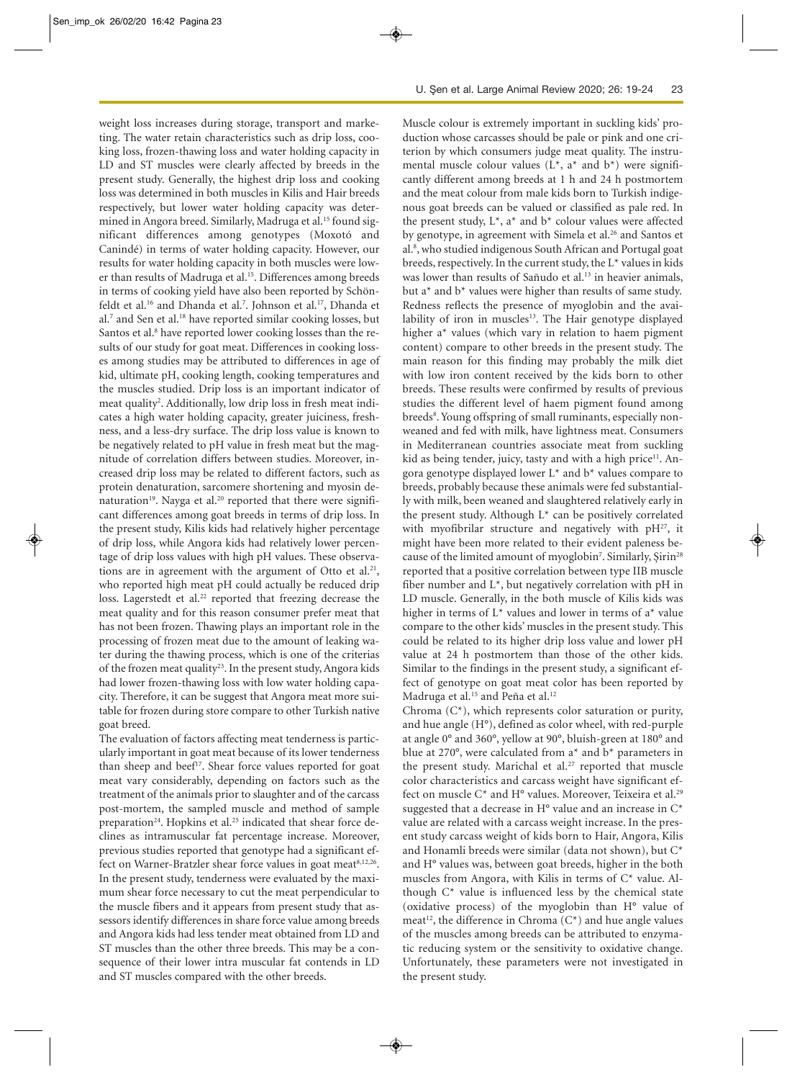weight loss increases during storage, transport and marketing. The water retain characteristics such as drip loss, cooking loss, frozen-thawing loss and water holding capacity in LD and ST muscles were clearly affected by breeds in the present study. Generally, the highest drip loss and cooking loss was determined in both muscles in Kilis and Hair breeds respectively, but lower water holding capacity was determined in Angora breed. Similarly, Madruga et al.<sup>15</sup> found significant differences among genotypes (Moxotó and Canindé) in terms of water holding capacity. However, our results for water holding capacity in both muscles were lower than results of Madruga et al.<sup>15</sup>. Differences among breeds in terms of cooking yield have also been reported by Schönfeldt et al.<sup>16</sup> and Dhanda et al.<sup>7</sup>. Johnson et al.<sup>17</sup>, Dhanda et al.7 and Sen et al.18 have reported similar cooking losses, but Santos et al.<sup>8</sup> have reported lower cooking losses than the results of our study for goat meat. Differences in cooking losses among studies may be attributed to differences in age of kid, ultimate pH, cooking length, cooking temperatures and the muscles studied. Drip loss is an important indicator of meat quality<sup>2</sup>. Additionally, low drip loss in fresh meat indicates a high water holding capacity, greater juiciness, freshness, and a less-dry surface. The drip loss value is known to be negatively related to pH value in fresh meat but the magnitude of correlation differs between studies. Moreover, increased drip loss may be related to different factors, such as protein denaturation, sarcomere shortening and myosin denaturation<sup>19</sup>. Nayga et al.<sup>20</sup> reported that there were significant differences among goat breeds in terms of drip loss. In the present study, Kilis kids had relatively higher percentage of drip loss, while Angora kids had relatively lower percentage of drip loss values with high pH values. These observations are in agreement with the argument of Otto et al.<sup>21</sup>, who reported high meat pH could actually be reduced drip loss. Lagerstedt et al.<sup>22</sup> reported that freezing decrease the meat quality and for this reason consumer prefer meat that has not been frozen. Thawing plays an important role in the processing of frozen meat due to the amount of leaking water during the thawing process, which is one of the criterias of the frozen meat quality<sup>23</sup>. In the present study, Angora kids had lower frozen-thawing loss with low water holding capacity. Therefore, it can be suggest that Angora meat more suitable for frozen during store compare to other Turkish native goat breed.

The evaluation of factors affecting meat tenderness is particularly important in goat meat because of its lower tenderness than sheep and beef<sup>17</sup>. Shear force values reported for goat meat vary considerably, depending on factors such as the treatment of the animals prior to slaughter and of the carcass post-mortem, the sampled muscle and method of sample preparation<sup>24</sup>. Hopkins et al.<sup>25</sup> indicated that shear force declines as intramuscular fat percentage increase. Moreover, previous studies reported that genotype had a significant effect on Warner-Bratzler shear force values in goat meat<sup>8,12,26</sup>. In the present study, tenderness were evaluated by the maximum shear force necessary to cut the meat perpendicular to the muscle fibers and it appears from present study that assessors identify differences in share force value among breeds and Angora kids had less tender meat obtained from LD and ST muscles than the other three breeds. This may be a consequence of their lower intra muscular fat contends in LD and ST muscles compared with the other breeds.

Muscle colour is extremely important in suckling kids' production whose carcasses should be pale or pink and one criterion by which consumers judge meat quality. The instrumental muscle colour values  $(L^*, a^*$  and  $b^*)$  were significantly different among breeds at 1 h and 24 h postmortem and the meat colour from male kids born to Turkish indigenous goat breeds can be valued or classified as pale red. In the present study,  $L^*$ ,  $a^*$  and  $b^*$  colour values were affected by genotype, in agreement with Simela et al.<sup>26</sup> and Santos et al.<sup>8</sup>, who studied indigenous South African and Portugal goat breeds, respectively. In the current study, the L\* values in kids was lower than results of Sañudo et al.<sup>13</sup> in heavier animals, but  $a^*$  and  $b^*$  values were higher than results of same study. Redness reflects the presence of myoglobin and the availability of iron in muscles<sup>13</sup>. The Hair genotype displayed higher a\* values (which vary in relation to haem pigment content) compare to other breeds in the present study. The main reason for this finding may probably the milk diet with low iron content received by the kids born to other breeds. These results were confirmed by results of previous studies the different level of haem pigment found among breeds<sup>8</sup>. Young offspring of small ruminants, especially nonweaned and fed with milk, have lightness meat. Consumers in Mediterranean countries associate meat from suckling kid as being tender, juicy, tasty and with a high price<sup>11</sup>. Angora genotype displayed lower  $L^*$  and  $b^*$  values compare to breeds, probably because these animals were fed substantially with milk, been weaned and slaughtered relatively early in the present study. Although  $L^*$  can be positively correlated with myofibrilar structure and negatively with  $pH^{27}$ , it might have been more related to their evident paleness because of the limited amount of myoglobin<sup>7</sup>. Similarly, Şirin<sup>28</sup> reported that a positive correlation between type IIB muscle fiber number and  $L^*$ , but negatively correlation with pH in LD muscle. Generally, in the both muscle of Kilis kids was higher in terms of L\* values and lower in terms of a\* value compare to the other kids' muscles in the present study. This could be related to its higher drip loss value and lower pH value at 24 h postmortem than those of the other kids. Similar to the findings in the present study, a significant effect of genotype on goat meat color has been reported by Madruga et al.<sup>15</sup> and Peña et al.<sup>12</sup>

Chroma  $(C^*)$ , which represents color saturation or purity, and hue angle (H°), defined as color wheel, with red-purple at angle 0° and 360°, yellow at 90°, bluish-green at 180° and blue at 270°, were calculated from a\* and b\* parameters in the present study. Marichal et al.<sup>27</sup> reported that muscle color characteristics and carcass weight have significant effect on muscle C\* and H° values. Moreover, Teixeira et al.29 suggested that a decrease in  $H^{\circ}$  value and an increase in  $C^*$ value are related with a carcass weight increase. In the present study carcass weight of kids born to Hair, Angora, Kilis and Honamli breeds were similar (data not shown), but C\* and H° values was, between goat breeds, higher in the both muscles from Angora, with Kilis in terms of C\* value. Although  $C^*$  value is influenced less by the chemical state (oxidative process) of the myoglobin than H° value of meat<sup>12</sup>, the difference in Chroma  $(C^*)$  and hue angle values of the muscles among breeds can be attributed to enzymatic reducing system or the sensitivity to oxidative change. Unfortunately, these parameters were not investigated in the present study.